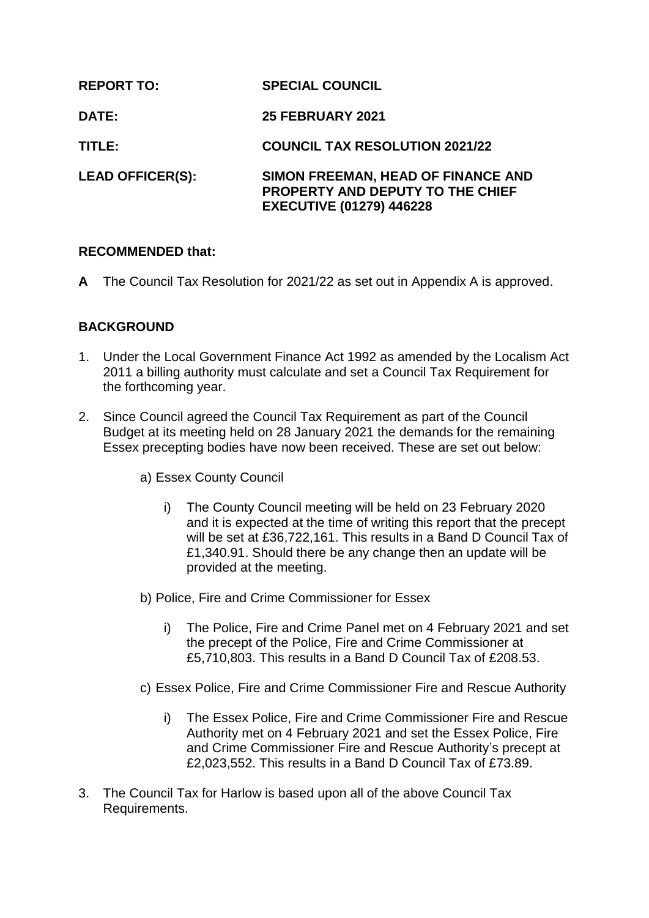| <b>REPORT TO:</b>       | <b>SPECIAL COUNCIL</b>                                                                                           |
|-------------------------|------------------------------------------------------------------------------------------------------------------|
| DATE:                   | <b>25 FEBRUARY 2021</b>                                                                                          |
| TITLE:                  | <b>COUNCIL TAX RESOLUTION 2021/22</b>                                                                            |
| <b>LEAD OFFICER(S):</b> | SIMON FREEMAN, HEAD OF FINANCE AND<br><b>PROPERTY AND DEPUTY TO THE CHIEF</b><br><b>EXECUTIVE (01279) 446228</b> |

#### **RECOMMENDED that:**

**A** The Council Tax Resolution for 2021/22 as set out in Appendix A is approved.

#### **BACKGROUND**

- 1. Under the Local Government Finance Act 1992 as amended by the Localism Act 2011 a billing authority must calculate and set a Council Tax Requirement for the forthcoming year.
- 2. Since Council agreed the Council Tax Requirement as part of the Council Budget at its meeting held on 28 January 2021 the demands for the remaining Essex precepting bodies have now been received. These are set out below:
	- a) Essex County Council
		- i) The County Council meeting will be held on 23 February 2020 and it is expected at the time of writing this report that the precept will be set at £36,722,161. This results in a Band D Council Tax of £1,340.91. Should there be any change then an update will be provided at the meeting.
	- b) Police, Fire and Crime Commissioner for Essex
		- i) The Police, Fire and Crime Panel met on 4 February 2021 and set the precept of the Police, Fire and Crime Commissioner at £5,710,803. This results in a Band D Council Tax of £208.53.
	- c) Essex Police, Fire and Crime Commissioner Fire and Rescue Authority
		- i) The Essex Police, Fire and Crime Commissioner Fire and Rescue Authority met on 4 February 2021 and set the Essex Police, Fire and Crime Commissioner Fire and Rescue Authority's precept at £2,023,552. This results in a Band D Council Tax of £73.89.
- 3. The Council Tax for Harlow is based upon all of the above Council Tax Requirements.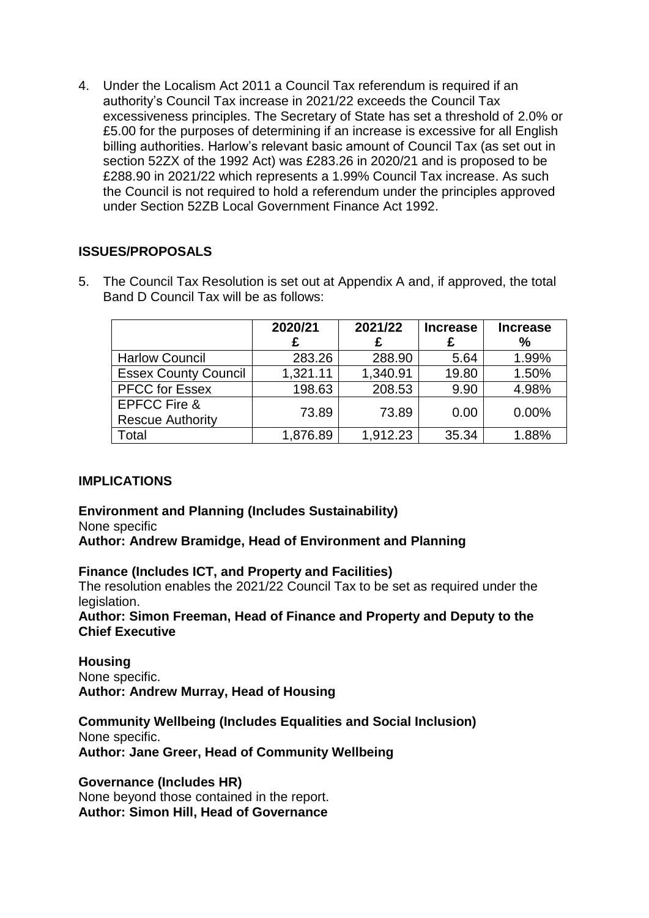4. Under the Localism Act 2011 a Council Tax referendum is required if an authority's Council Tax increase in 2021/22 exceeds the Council Tax excessiveness principles. The Secretary of State has set a threshold of 2.0% or £5.00 for the purposes of determining if an increase is excessive for all English billing authorities. Harlow's relevant basic amount of Council Tax (as set out in section 52ZX of the 1992 Act) was £283.26 in 2020/21 and is proposed to be £288.90 in 2021/22 which represents a 1.99% Council Tax increase. As such the Council is not required to hold a referendum under the principles approved under Section 52ZB Local Government Finance Act 1992.

### **ISSUES/PROPOSALS**

5. The Council Tax Resolution is set out at Appendix A and, if approved, the total Band D Council Tax will be as follows:

|                                                    | 2020/21<br>£ | 2021/22  | <b>Increase</b> | <b>Increase</b><br>% |
|----------------------------------------------------|--------------|----------|-----------------|----------------------|
| <b>Harlow Council</b>                              | 283.26       | 288.90   | 5.64            | 1.99%                |
| <b>Essex County Council</b>                        | 1,321.11     | 1,340.91 | 19.80           | 1.50%                |
| <b>PFCC for Essex</b>                              | 198.63       | 208.53   | 9.90            | 4.98%                |
| <b>EPFCC Fire &amp;</b><br><b>Rescue Authority</b> | 73.89        | 73.89    | 0.00            | $0.00\%$             |
| Total                                              | 1,876.89     | 1,912.23 | 35.34           | 1.88%                |

### **IMPLICATIONS**

**Environment and Planning (Includes Sustainability)** None specific **Author: Andrew Bramidge, Head of Environment and Planning**

**Finance (Includes ICT, and Property and Facilities)**

The resolution enables the 2021/22 Council Tax to be set as required under the legislation.

**Author: Simon Freeman, Head of Finance and Property and Deputy to the Chief Executive**

**Housing** None specific. **Author: Andrew Murray, Head of Housing**

**Community Wellbeing (Includes Equalities and Social Inclusion)** None specific. **Author: Jane Greer, Head of Community Wellbeing**

#### **Governance (Includes HR)**

None beyond those contained in the report. **Author: Simon Hill, Head of Governance**